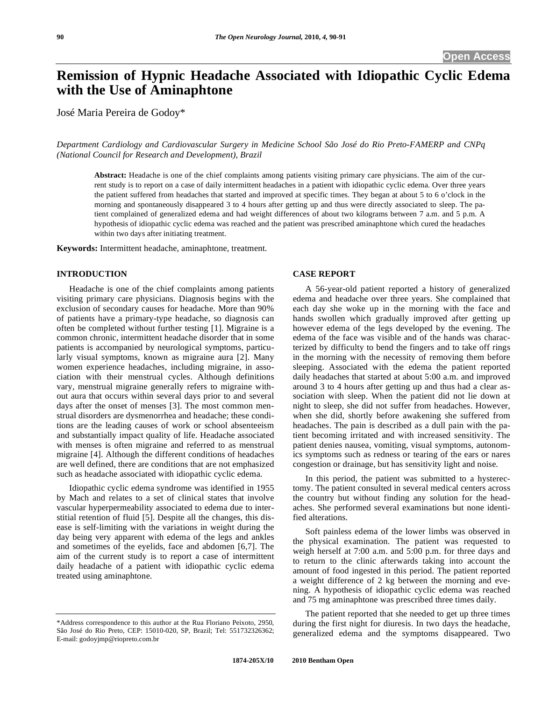# **Remission of Hypnic Headache Associated with Idiopathic Cyclic Edema with the Use of Aminaphtone**

José Maria Pereira de Godoy\*

*Department Cardiology and Cardiovascular Surgery in Medicine School São José do Rio Preto-FAMERP and CNPq (National Council for Research and Development), Brazil* 

**Abstract:** Headache is one of the chief complaints among patients visiting primary care physicians. The aim of the current study is to report on a case of daily intermittent headaches in a patient with idiopathic cyclic edema. Over three years the patient suffered from headaches that started and improved at specific times. They began at about 5 to 6 o'clock in the morning and spontaneously disappeared 3 to 4 hours after getting up and thus were directly associated to sleep. The patient complained of generalized edema and had weight differences of about two kilograms between 7 a.m. and 5 p.m. A hypothesis of idiopathic cyclic edema was reached and the patient was prescribed aminaphtone which cured the headaches within two days after initiating treatment.

**Keywords:** Intermittent headache, aminaphtone, treatment.

## **INTRODUCTION**

 Headache is one of the chief complaints among patients visiting primary care physicians. Diagnosis begins with the exclusion of secondary causes for headache. More than 90% of patients have a primary-type headache, so diagnosis can often be completed without further testing [1]. Migraine is a common chronic, intermittent headache disorder that in some patients is accompanied by neurological symptoms, particularly visual symptoms, known as migraine aura [2]. Many women experience headaches, including migraine, in association with their menstrual cycles. Although definitions vary, menstrual migraine generally refers to migraine without aura that occurs within several days prior to and several days after the onset of menses [3]. The most common menstrual disorders are dysmenorrhea and headache; these conditions are the leading causes of work or school absenteeism and substantially impact quality of life. Headache associated with menses is often migraine and referred to as menstrual migraine [4]. Although the different conditions of headaches are well defined, there are conditions that are not emphasized such as headache associated with idiopathic cyclic edema.

 Idiopathic cyclic edema syndrome was identified in 1955 by Mach and relates to a set of clinical states that involve vascular hyperpermeability associated to edema due to interstitial retention of fluid [5]. Despite all the changes, this disease is self-limiting with the variations in weight during the day being very apparent with edema of the legs and ankles and sometimes of the eyelids, face and abdomen [6,7]. The aim of the current study is to report a case of intermittent daily headache of a patient with idiopathic cyclic edema treated using aminaphtone.

#### **CASE REPORT**

 A 56-year-old patient reported a history of generalized edema and headache over three years. She complained that each day she woke up in the morning with the face and hands swollen which gradually improved after getting up however edema of the legs developed by the evening. The edema of the face was visible and of the hands was characterized by difficulty to bend the fingers and to take off rings in the morning with the necessity of removing them before sleeping. Associated with the edema the patient reported daily headaches that started at about 5:00 a.m. and improved around 3 to 4 hours after getting up and thus had a clear association with sleep. When the patient did not lie down at night to sleep, she did not suffer from headaches. However, when she did, shortly before awakening she suffered from headaches. The pain is described as a dull pain with the patient becoming irritated and with increased sensitivity. The patient denies nausea, vomiting, visual symptoms, autonomics symptoms such as redness or tearing of the ears or nares congestion or drainage, but has sensitivity light and noise.

 In this period, the patient was submitted to a hysterectomy. The patient consulted in several medical centers across the country but without finding any solution for the headaches. She performed several examinations but none identified alterations.

 Soft painless edema of the lower limbs was observed in the physical examination. The patient was requested to weigh herself at 7:00 a.m. and 5:00 p.m. for three days and to return to the clinic afterwards taking into account the amount of food ingested in this period. The patient reported a weight difference of 2 kg between the morning and evening. A hypothesis of idiopathic cyclic edema was reached and 75 mg aminaphtone was prescribed three times daily.

 The patient reported that she needed to get up three times during the first night for diuresis. In two days the headache, generalized edema and the symptoms disappeared. Two

<sup>\*</sup>Address correspondence to this author at the Rua Floriano Peixoto, 2950, São José do Rio Preto, CEP: 15010-020, SP, Brazil; Tel: 551732326362; E-mail: godoyjmp@riopreto.com.br